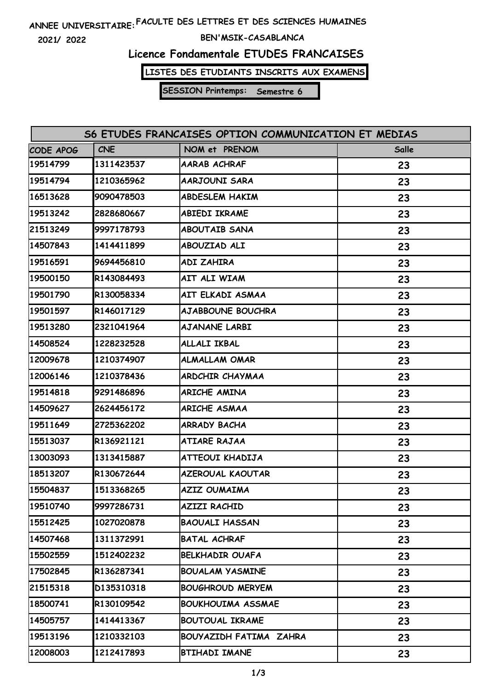# **FACULTE DES LETTRES ET DES SCIENCES HUMAINES ANNEE UNIVERSITAIRE:**

**2021/ 2022**

### **BEN'MSIK-CASABLANCA**

## **Licence Fondamentale ETUDES FRANCAISES**

**LISTES DES ETUDIANTS INSCRITS AUX EXAMENS**

**SESSION Printemps: Semestre 6**

| S6 ETUDES FRANCAISES OPTION COMMUNICATION ET MEDIAS |            |                          |       |  |  |  |
|-----------------------------------------------------|------------|--------------------------|-------|--|--|--|
| CODE APOG                                           | <b>CNE</b> | NOM et PRENOM            | Salle |  |  |  |
| 19514799                                            | 1311423537 | AARAB ACHRAF             | 23    |  |  |  |
| 19514794                                            | 1210365962 | AARJOUNI SARA            | 23    |  |  |  |
| 16513628                                            | 9090478503 | <b>ABDESLEM HAKIM</b>    | 23    |  |  |  |
| 19513242                                            | 2828680667 | <b>ABIEDI IKRAME</b>     | 23    |  |  |  |
| 21513249                                            | 9997178793 | <b>ABOUTAIB SANA</b>     | 23    |  |  |  |
| 14507843                                            | 1414411899 | ABOUZIAD ALI             | 23    |  |  |  |
| 19516591                                            | 9694456810 | ADI ZAHIRA               | 23    |  |  |  |
| 19500150                                            | R143084493 | AIT ALI WIAM             | 23    |  |  |  |
| 19501790                                            | R130058334 | AIT ELKADI ASMAA         | 23    |  |  |  |
| 19501597                                            | R146017129 | <b>AJABBOUNE BOUCHRA</b> | 23    |  |  |  |
| 19513280                                            | 2321041964 | <b>AJANANE LARBI</b>     | 23    |  |  |  |
| 14508524                                            | 1228232528 | ALLALI IKBAL             | 23    |  |  |  |
| 12009678                                            | 1210374907 | <b>ALMALLAM OMAR</b>     | 23    |  |  |  |
| 12006146                                            | 1210378436 | ARDCHIR CHAYMAA          | 23    |  |  |  |
| 19514818                                            | 9291486896 | ARICHE AMINA             | 23    |  |  |  |
| 14509627                                            | 2624456172 | ARICHE ASMAA             | 23    |  |  |  |
| 19511649                                            | 2725362202 | <b>ARRADY BACHA</b>      | 23    |  |  |  |
| 15513037                                            | R136921121 | ATIARE RAJAA             | 23    |  |  |  |
| 13003093                                            | 1313415887 | ATTEOUI KHADIJA          | 23    |  |  |  |
| 18513207                                            | R130672644 | <b>AZEROUAL KAOUTAR</b>  | 23    |  |  |  |
| 15504837                                            | 1513368265 | <b>AZIZ OUMAIMA</b>      | 23    |  |  |  |
| 19510740                                            | 9997286731 | AZIZI RACHID             | 23    |  |  |  |
| 15512425                                            | 1027020878 | <b>BAOUALI HASSAN</b>    | 23    |  |  |  |
| 14507468                                            | 1311372991 | <b>BATAL ACHRAF</b>      | 23    |  |  |  |
| 15502559                                            | 1512402232 | <b>BELKHADIR OUAFA</b>   | 23    |  |  |  |
| 17502845                                            | R136287341 | <b>BOUALAM YASMINE</b>   | 23    |  |  |  |
| 21515318                                            | D135310318 | <b>BOUGHROUD MERYEM</b>  | 23    |  |  |  |
| 18500741                                            | R130109542 | <b>BOUKHOUIMA ASSMAE</b> | 23    |  |  |  |
| 14505757                                            | 1414413367 | <b>BOUTOUAL IKRAME</b>   | 23    |  |  |  |
| 19513196                                            | 1210332103 | BOUYAZIDH FATIMA ZAHRA   | 23    |  |  |  |
| 12008003                                            | 1212417893 | <b>BTIHADI IMANE</b>     | 23    |  |  |  |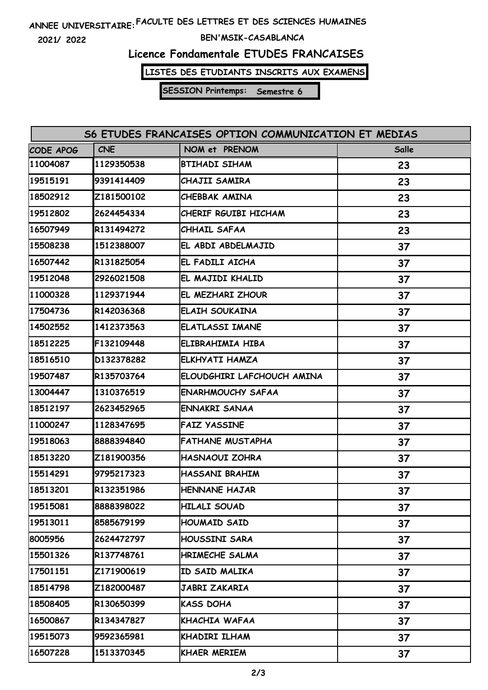# **FACULTE DES LETTRES ET DES SCIENCES HUMAINES ANNEE UNIVERSITAIRE:**

**2021/ 2022**

### **BEN'MSIK-CASABLANCA**

## **Licence Fondamentale ETUDES FRANCAISES**

**LISTES DES ETUDIANTS INSCRITS AUX EXAMENS**

**SESSION Printemps: Semestre 6**

| S6 ETUDES FRANCAISES OPTION COMMUNICATION ET MEDIAS |            |                            |       |  |  |  |
|-----------------------------------------------------|------------|----------------------------|-------|--|--|--|
| CODE APOG                                           | <b>CNE</b> | NOM et PRENOM              | Salle |  |  |  |
| 11004087                                            | 1129350538 | <b>BTIHADI SIHAM</b>       | 23    |  |  |  |
| 19515191                                            | 9391414409 | CHAJII SAMIRA              | 23    |  |  |  |
| 18502912                                            | Z181500102 | CHEBBAK AMINA              | 23    |  |  |  |
| 19512802                                            | 2624454334 | CHERIF RGUIBI HICHAM       | 23    |  |  |  |
| 16507949                                            | R131494272 | CHHAIL SAFAA               | 23    |  |  |  |
| 15508238                                            | 1512388007 | EL ABDI ABDELMAJID         | 37    |  |  |  |
| 16507442                                            | R131825054 | EL FADILI AICHA            | 37    |  |  |  |
| 19512048                                            | 2926021508 | EL MAJIDI KHALID           | 37    |  |  |  |
| 11000328                                            | 1129371944 | EL MEZHARI ZHOUR           | 37    |  |  |  |
| 17504736                                            | R142036368 | ELAIH SOUKAINA             | 37    |  |  |  |
| 14502552                                            | 1412373563 | <b>ELATLASSI IMANE</b>     | 37    |  |  |  |
| 18512225                                            | F132109448 | ELIBRAHIMIA HIBA           | 37    |  |  |  |
| 18516510                                            | D132378282 | ELKHYATI HAMZA             | 37    |  |  |  |
| 19507487                                            | R135703764 | ELOUDGHIRI LAFCHOUCH AMINA | 37    |  |  |  |
| 13004447                                            | 1310376519 | <b>ENARHMOUCHY SAFAA</b>   | 37    |  |  |  |
| 18512197                                            | 2623452965 | ENNAKRI SANAA              | 37    |  |  |  |
| 11000247                                            | 1128347695 | <b>FAIZ YASSINE</b>        | 37    |  |  |  |
| 19518063                                            | 8888394840 | <b>FATHANE MUSTAPHA</b>    | 37    |  |  |  |
| 18513220                                            | Z181900356 | <b>HASNAOUI ZOHRA</b>      | 37    |  |  |  |
| 15514291                                            | 9795217323 | HASSANI BRAHIM             | 37    |  |  |  |
| 18513201                                            | R132351986 | HENNANE HAJAR              | 37    |  |  |  |
| 19515081                                            | 8888398022 | HILALI SOUAD               | 37    |  |  |  |
| 19513011                                            | 8585679199 | HOUMAID SAID               | 37    |  |  |  |
| 8005956                                             | 2624472797 | HOUSSINI SARA              | 37    |  |  |  |
| 15501326                                            | R137748761 | HRIMECHE SALMA             | 37    |  |  |  |
| 17501151                                            | Z171900619 | ID SAID MALIKA             | 37    |  |  |  |
| 18514798                                            | Z182000487 | JABRI ZAKARIA              | 37    |  |  |  |
| 18508405                                            | R130650399 | KASS DOHA                  | 37    |  |  |  |
| 16500867                                            | R134347827 | KHACHIA WAFAA              | 37    |  |  |  |
| 19515073                                            | 9592365981 | KHADIRI ILHAM              | 37    |  |  |  |
| 16507228                                            | 1513370345 | <b>KHAER MERIEM</b>        | 37    |  |  |  |